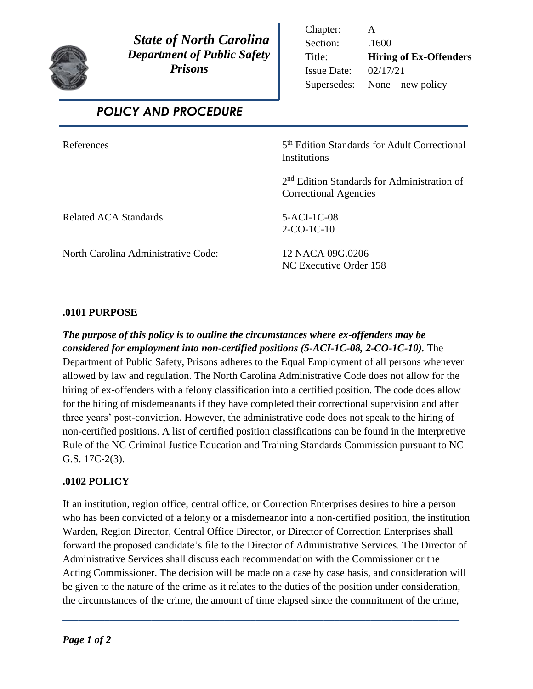

 *State of North Carolina Department of Public Safety Prisons* 

Chapter: A Section: .1600 Title: **Hiring of Ex-Offenders** Issue Date: 02/17/21 Supersedes: None – new policy

 *POLICY AND PROCEDURE*

**References** 

5<sup>th</sup> Edition Standards for Adult Correctional **Institutions** 

2 nd Edition Standards for Administration of Correctional Agencies

Related ACA Standards 5-ACI-1C-08

2-CO-1C-10

North Carolina Administrative Code: 12 NACA 09G.0206

NC Executive Order 158

## **.0101 PURPOSE**

*The purpose of this policy is to outline the circumstances where ex-offenders may be considered for employment into non-certified positions (5-ACI-1C-08, 2-CO-1C-10).* The Department of Public Safety, Prisons adheres to the Equal Employment of all persons whenever allowed by law and regulation. The North Carolina Administrative Code does not allow for the hiring of ex-offenders with a felony classification into a certified position. The code does allow for the hiring of misdemeanants if they have completed their correctional supervision and after three years' post-conviction. However, the administrative code does not speak to the hiring of non-certified positions. A list of certified position classifications can be found in the Interpretive Rule of the NC Criminal Justice Education and Training Standards Commission pursuant to NC G.S. 17C-2(3).

## **.0102 POLICY**

If an institution, region office, central office, or Correction Enterprises desires to hire a person who has been convicted of a felony or a misdemeanor into a non-certified position, the institution Warden, Region Director, Central Office Director, or Director of Correction Enterprises shall forward the proposed candidate's file to the Director of Administrative Services. The Director of Administrative Services shall discuss each recommendation with the Commissioner or the Acting Commissioner. The decision will be made on a case by case basis, and consideration will be given to the nature of the crime as it relates to the duties of the position under consideration, the circumstances of the crime, the amount of time elapsed since the commitment of the crime,

**\_\_\_\_\_\_\_\_\_\_\_\_\_\_\_\_\_\_\_\_\_\_\_\_\_\_\_\_\_\_\_\_\_\_\_\_\_\_\_\_\_\_\_\_\_\_\_\_\_\_\_\_\_\_\_\_\_\_\_\_\_\_\_\_\_\_\_\_\_\_\_\_\_\_\_\_**